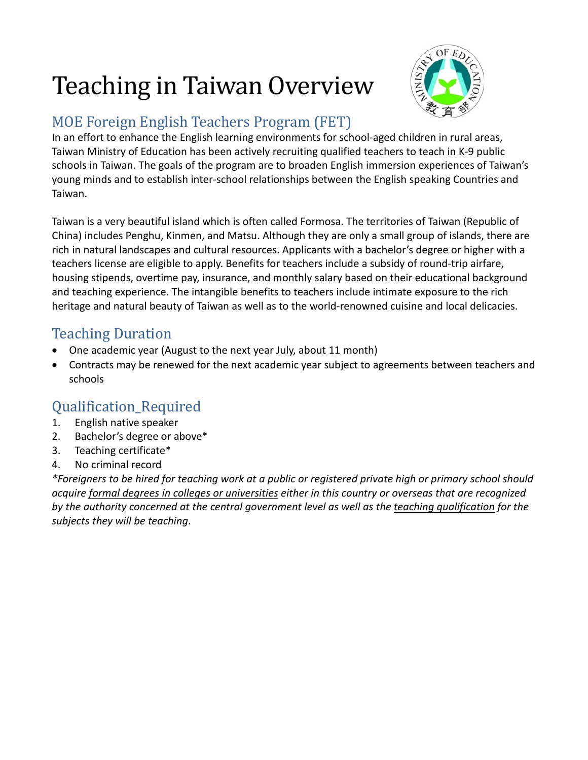# Teaching in Taiwan Overview



### MOE Foreign English Teachers Program (FET)

In an effort to enhance the English learning environments for school-aged children in rural areas, Taiwan Ministry of Education has been actively recruiting qualified teachers to teach in K-9 public schools in Taiwan. The goals of the program are to broaden English immersion experiences of Taiwan's young minds and to establish inter-school relationships between the English speaking Countries and Taiwan.

Taiwan is a very beautiful island which is often called Formosa. The territories of Taiwan (Republic of China) includes Penghu, Kinmen, and Matsu. Although they are only a small group of islands, there are rich in natural landscapes and cultural resources. Applicants with a bachelor's degree or higher with a teachers license are eligible to apply. Benefits for teachers include a subsidy of round-trip airfare, housing stipends, overtime pay, insurance, and monthly salary based on their educational background and teaching experience. The intangible benefits to teachers include intimate exposure to the rich heritage and natural beauty of Taiwan as well as to the world-renowned cuisine and local delicacies.

- Teaching Duration<br>• One academic year (August to the next year July, about 11 month)
- Contracts may be renewed for the next academic year subject to agreements between teachers and schools

## Qualification\_Required<br>1. English native speaker

- 1. English native speaker
- 2. Bachelor's degree or above\*
- 3. Teaching certificate\*
- 4. No criminal record

*\*Foreigners to be hired for teaching work at a public or registered private high or primary school should acquire formal degrees in colleges or universities either in this country or overseas that are recognized by the authority concerned at the central government level as well as the teaching qualification for the subjects they will be teaching*.